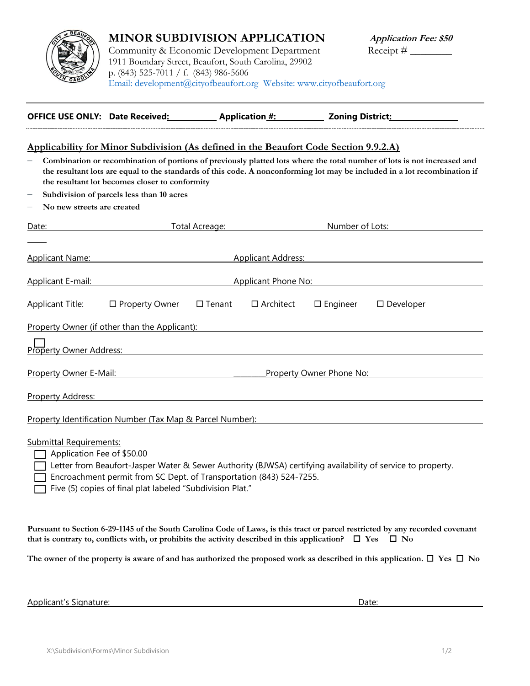

## **MINOR SUBDIVISION APPLICATION**

Community & Economic Development Department 1911 Boundary Street, Beaufort, South Carolina, 29902 p. (843) 525-7011 / f. (843) 986-5606 [Email: development@cityofbeaufort.org Website: www.cityofbeaufort.org](http://www.cityofbeaufort.org/)

| <b>OFFICE USE ONLY: Date Received:</b> |  | <b>Application #:</b> | <b>Zoning District:</b> |
|----------------------------------------|--|-----------------------|-------------------------|
|----------------------------------------|--|-----------------------|-------------------------|

## **Applicability for Minor Subdivision (As defined in the Beaufort Code Section 9.9.2.A)**

- − **Combination or recombination of portions of previously platted lots where the total number of lots is not increased and the resultant lots are equal to the standards of this code. A nonconforming lot may be included in a lot recombination if the resultant lot becomes closer to conformity**
- − **Subdivision of parcels less than 10 acres**
- − **No new streets are created**

| Date:                                                     | Total Acreage:             |               |                           | Number of Lots: |                     |  |  |
|-----------------------------------------------------------|----------------------------|---------------|---------------------------|-----------------|---------------------|--|--|
| <b>Applicant Name:</b>                                    |                            |               | <b>Applicant Address:</b> |                 |                     |  |  |
| <b>Applicant E-mail:</b>                                  | <b>Applicant Phone No:</b> |               |                           |                 |                     |  |  |
| <b>Applicant Title:</b>                                   | $\Box$ Property Owner      | $\Box$ Tenant | $\Box$ Architect          | $\Box$ Engineer | $\square$ Developer |  |  |
| Property Owner (if other than the Applicant):             |                            |               |                           |                 |                     |  |  |
| <b>Property Owner Address:</b>                            |                            |               |                           |                 |                     |  |  |
| <b>Property Owner E-Mail:</b>                             |                            |               | Property Owner Phone No:  |                 |                     |  |  |
| Property Address:                                         |                            |               |                           |                 |                     |  |  |
| Property Identification Number (Tax Map & Parcel Number): |                            |               |                           |                 |                     |  |  |

Submittal Requirements:

Application Fee of \$50.00

Letter from Beaufort-Jasper Water & Sewer Authority (BJWSA) certifying availability of service to property.

Encroachment permit from SC Dept. of Transportation (843) 524-7255.

Five (5) copies of final plat labeled "Subdivision Plat."

**Pursuant to Section 6-29-1145 of the South Carolina Code of Laws, is this tract or parcel restricted by any recorded covenant that is contrary to, conflicts with, or prohibits the activity described in this application?**  $\Box$  **Yes**  $\Box$  **No** 

The owner of the property is aware of and has authorized the proposed work as described in this application.  $\Box$  Yes  $\Box$  No

Applicant's Signature: Date: